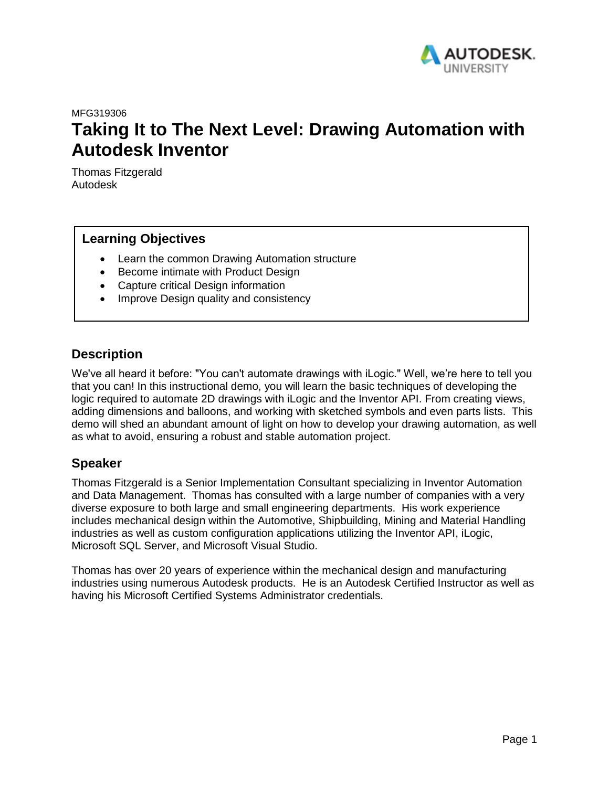

MFG319306

# <span id="page-0-0"></span>**Taking It to The Next Level: Drawing Automation with Autodesk Inventor**

Thomas Fitzgerald Autodesk

### **Learning Objectives**

- Learn the common Drawing Automation structure
- Become intimate with Product Design
- Capture critical Design information
- Improve Design quality and consistency

## **Description**

We've all heard it before: "You can't automate drawings with iLogic." Well, we're here to tell you that you can! In this instructional demo, you will learn the basic techniques of developing the logic required to automate 2D drawings with iLogic and the Inventor API. From creating views, adding dimensions and balloons, and working with sketched symbols and even parts lists. This demo will shed an abundant amount of light on how to develop your drawing automation, as well as what to avoid, ensuring a robust and stable automation project.

### **Speaker**

Thomas Fitzgerald is a Senior Implementation Consultant specializing in Inventor Automation and Data Management. Thomas has consulted with a large number of companies with a very diverse exposure to both large and small engineering departments. His work experience includes mechanical design within the Automotive, Shipbuilding, Mining and Material Handling industries as well as custom configuration applications utilizing the Inventor API, iLogic, Microsoft SQL Server, and Microsoft Visual Studio.

Thomas has over 20 years of experience within the mechanical design and manufacturing industries using numerous Autodesk products. He is an Autodesk Certified Instructor as well as having his Microsoft Certified Systems Administrator credentials.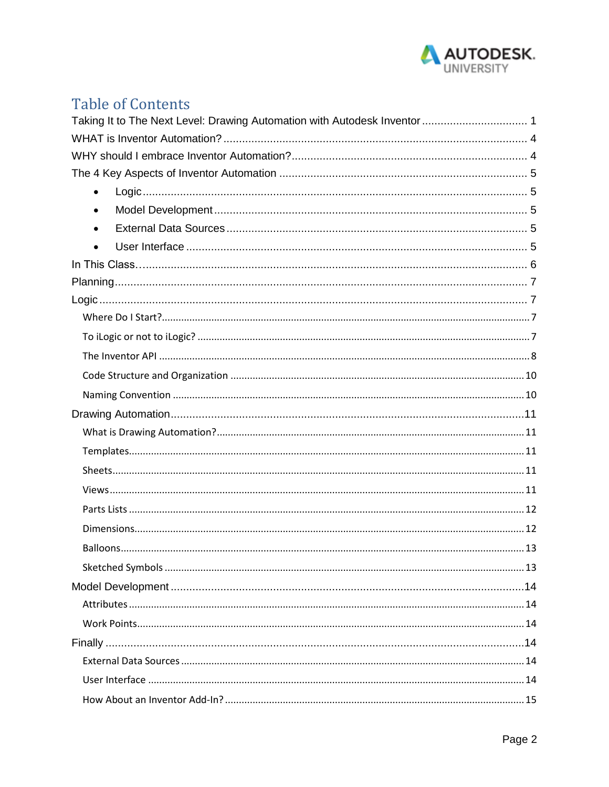

## **Table of Contents**

| Taking It to The Next Level: Drawing Automation with Autodesk Inventor  1 |  |
|---------------------------------------------------------------------------|--|
|                                                                           |  |
|                                                                           |  |
|                                                                           |  |
| $\bullet$                                                                 |  |
| ٠                                                                         |  |
| $\bullet$                                                                 |  |
| $\bullet$                                                                 |  |
|                                                                           |  |
|                                                                           |  |
|                                                                           |  |
|                                                                           |  |
|                                                                           |  |
|                                                                           |  |
|                                                                           |  |
|                                                                           |  |
|                                                                           |  |
|                                                                           |  |
|                                                                           |  |
|                                                                           |  |
|                                                                           |  |
|                                                                           |  |
|                                                                           |  |
|                                                                           |  |
|                                                                           |  |
|                                                                           |  |
|                                                                           |  |
|                                                                           |  |
|                                                                           |  |
|                                                                           |  |
|                                                                           |  |
|                                                                           |  |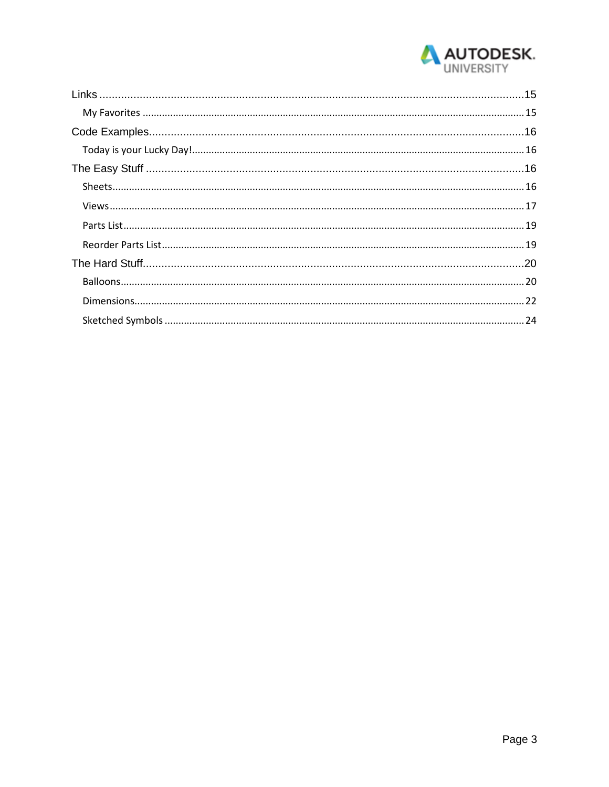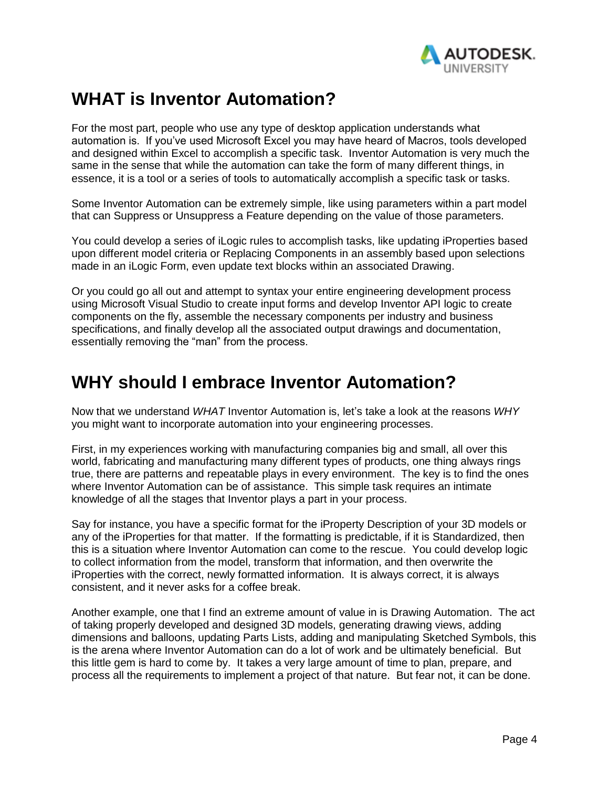

## <span id="page-3-0"></span>**WHAT is Inventor Automation?**

For the most part, people who use any type of desktop application understands what automation is. If you've used Microsoft Excel you may have heard of Macros, tools developed and designed within Excel to accomplish a specific task. Inventor Automation is very much the same in the sense that while the automation can take the form of many different things, in essence, it is a tool or a series of tools to automatically accomplish a specific task or tasks.

Some Inventor Automation can be extremely simple, like using parameters within a part model that can Suppress or Unsuppress a Feature depending on the value of those parameters.

You could develop a series of iLogic rules to accomplish tasks, like updating iProperties based upon different model criteria or Replacing Components in an assembly based upon selections made in an iLogic Form, even update text blocks within an associated Drawing.

Or you could go all out and attempt to syntax your entire engineering development process using Microsoft Visual Studio to create input forms and develop Inventor API logic to create components on the fly, assemble the necessary components per industry and business specifications, and finally develop all the associated output drawings and documentation, essentially removing the "man" from the process.

## <span id="page-3-1"></span>**WHY should I embrace Inventor Automation?**

Now that we understand *WHAT* Inventor Automation is, let's take a look at the reasons *WHY*  you might want to incorporate automation into your engineering processes.

First, in my experiences working with manufacturing companies big and small, all over this world, fabricating and manufacturing many different types of products, one thing always rings true, there are patterns and repeatable plays in every environment. The key is to find the ones where Inventor Automation can be of assistance. This simple task requires an intimate knowledge of all the stages that Inventor plays a part in your process.

Say for instance, you have a specific format for the iProperty Description of your 3D models or any of the iProperties for that matter. If the formatting is predictable, if it is Standardized, then this is a situation where Inventor Automation can come to the rescue. You could develop logic to collect information from the model, transform that information, and then overwrite the iProperties with the correct, newly formatted information. It is always correct, it is always consistent, and it never asks for a coffee break.

Another example, one that I find an extreme amount of value in is Drawing Automation. The act of taking properly developed and designed 3D models, generating drawing views, adding dimensions and balloons, updating Parts Lists, adding and manipulating Sketched Symbols, this is the arena where Inventor Automation can do a lot of work and be ultimately beneficial. But this little gem is hard to come by. It takes a very large amount of time to plan, prepare, and process all the requirements to implement a project of that nature. But fear not, it can be done.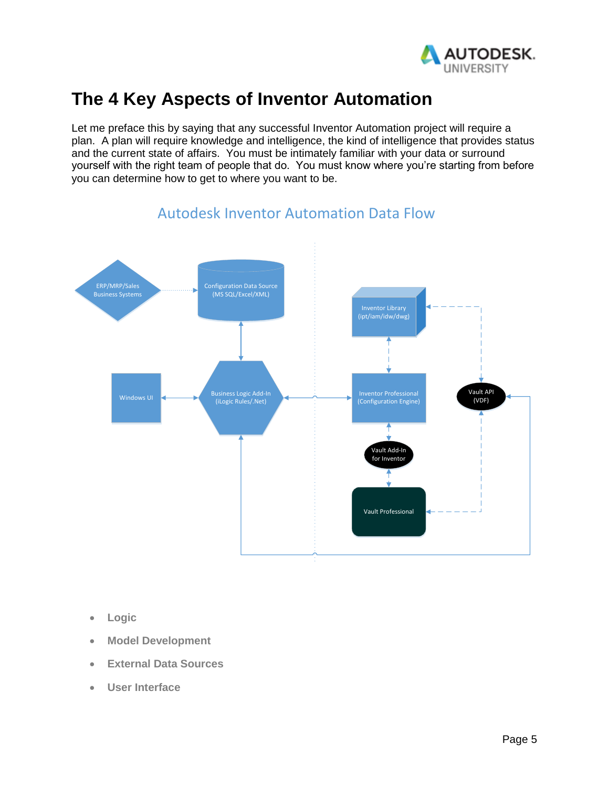

## <span id="page-4-0"></span>**The 4 Key Aspects of Inventor Automation**

Let me preface this by saying that any successful Inventor Automation project will require a plan. A plan will require knowledge and intelligence, the kind of intelligence that provides status and the current state of affairs. You must be intimately familiar with your data or surround yourself with the right team of people that do. You must know where you're starting from before you can determine how to get to where you want to be.



## Autodesk Inventor Automation Data Flow

- <span id="page-4-1"></span>• **Logic**
- <span id="page-4-3"></span><span id="page-4-2"></span>• **Model Development**
- **External Data Sources**
- <span id="page-4-4"></span>• **User Interface**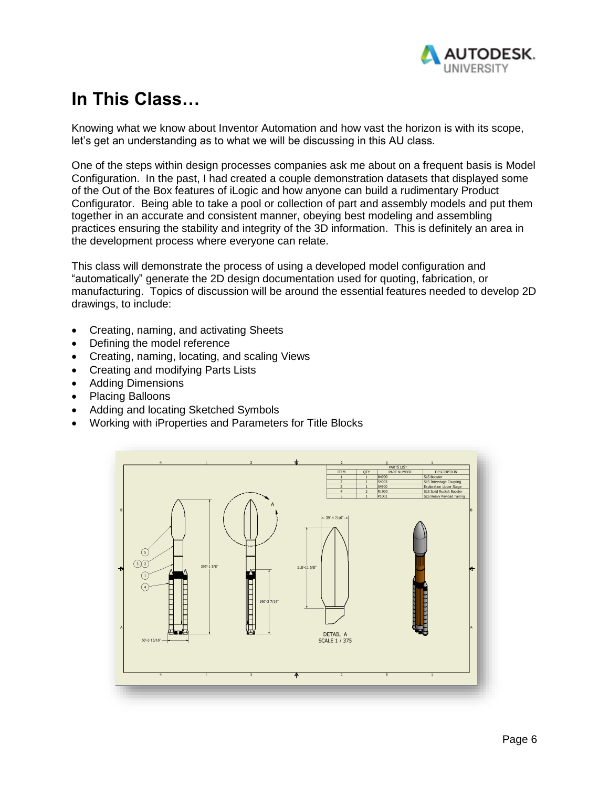

# <span id="page-5-0"></span>**In This Class…**

Knowing what we know about Inventor Automation and how vast the horizon is with its scope, let's get an understanding as to what we will be discussing in this AU class.

One of the steps within design processes companies ask me about on a frequent basis is Model Configuration. In the past, I had created a couple demonstration datasets that displayed some of the Out of the Box features of iLogic and how anyone can build a rudimentary Product Configurator. Being able to take a pool or collection of part and assembly models and put them together in an accurate and consistent manner, obeying best modeling and assembling practices ensuring the stability and integrity of the 3D information. This is definitely an area in the development process where everyone can relate.

This class will demonstrate the process of using a developed model configuration and "automatically" generate the 2D design documentation used for quoting, fabrication, or manufacturing. Topics of discussion will be around the essential features needed to develop 2D drawings, to include:

- Creating, naming, and activating Sheets
- Defining the model reference
- Creating, naming, locating, and scaling Views
- Creating and modifying Parts Lists
- Adding Dimensions
- Placing Balloons
- Adding and locating Sketched Symbols
- Working with iProperties and Parameters for Title Blocks

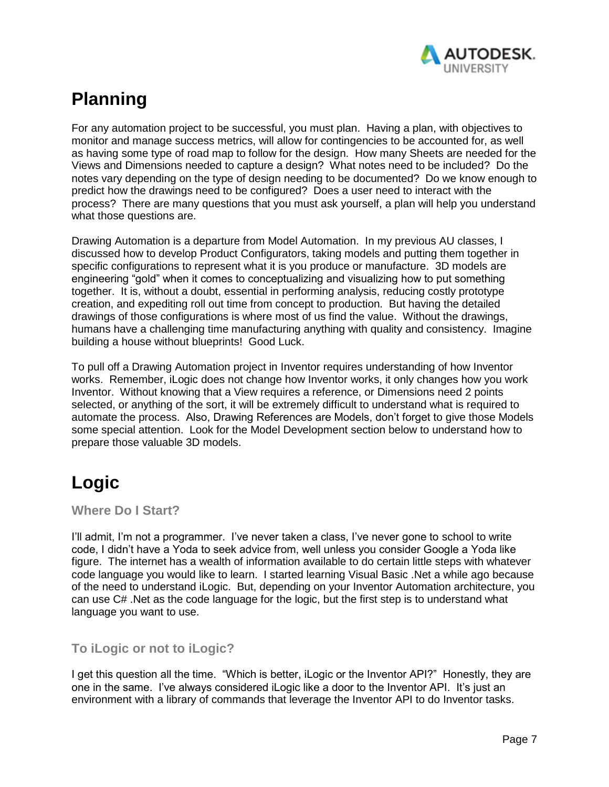

# <span id="page-6-0"></span>**Planning**

For any automation project to be successful, you must plan. Having a plan, with objectives to monitor and manage success metrics, will allow for contingencies to be accounted for, as well as having some type of road map to follow for the design. How many Sheets are needed for the Views and Dimensions needed to capture a design? What notes need to be included? Do the notes vary depending on the type of design needing to be documented? Do we know enough to predict how the drawings need to be configured? Does a user need to interact with the process? There are many questions that you must ask yourself, a plan will help you understand what those questions are.

Drawing Automation is a departure from Model Automation. In my previous AU classes, I discussed how to develop Product Configurators, taking models and putting them together in specific configurations to represent what it is you produce or manufacture. 3D models are engineering "gold" when it comes to conceptualizing and visualizing how to put something together. It is, without a doubt, essential in performing analysis, reducing costly prototype creation, and expediting roll out time from concept to production. But having the detailed drawings of those configurations is where most of us find the value. Without the drawings, humans have a challenging time manufacturing anything with quality and consistency. Imagine building a house without blueprints! Good Luck.

To pull off a Drawing Automation project in Inventor requires understanding of how Inventor works. Remember, iLogic does not change how Inventor works, it only changes how you work Inventor. Without knowing that a View requires a reference, or Dimensions need 2 points selected, or anything of the sort, it will be extremely difficult to understand what is required to automate the process. Also, Drawing References are Models, don't forget to give those Models some special attention. Look for the Model Development section below to understand how to prepare those valuable 3D models.

# <span id="page-6-1"></span>**Logic**

<span id="page-6-2"></span>**Where Do I Start?**

I'll admit, I'm not a programmer. I've never taken a class, I've never gone to school to write code, I didn't have a Yoda to seek advice from, well unless you consider Google a Yoda like figure. The internet has a wealth of information available to do certain little steps with whatever code language you would like to learn. I started learning Visual Basic .Net a while ago because of the need to understand iLogic. But, depending on your Inventor Automation architecture, you can use C# .Net as the code language for the logic, but the first step is to understand what language you want to use.

## <span id="page-6-3"></span>**To iLogic or not to iLogic?**

I get this question all the time. "Which is better, iLogic or the Inventor API?" Honestly, they are one in the same. I've always considered iLogic like a door to the Inventor API. It's just an environment with a library of commands that leverage the Inventor API to do Inventor tasks.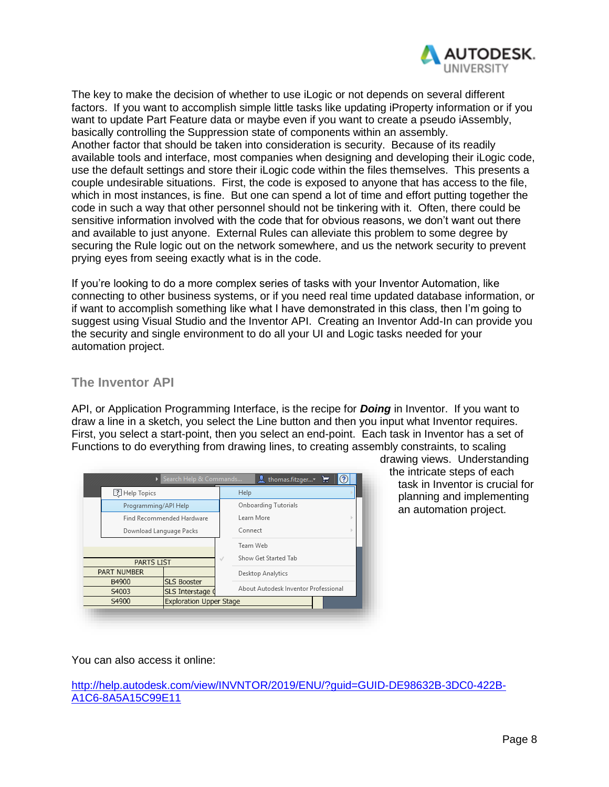

The key to make the decision of whether to use iLogic or not depends on several different factors. If you want to accomplish simple little tasks like updating iProperty information or if you want to update Part Feature data or maybe even if you want to create a pseudo iAssembly, basically controlling the Suppression state of components within an assembly. Another factor that should be taken into consideration is security. Because of its readily available tools and interface, most companies when designing and developing their iLogic code, use the default settings and store their iLogic code within the files themselves. This presents a couple undesirable situations. First, the code is exposed to anyone that has access to the file, which in most instances, is fine. But one can spend a lot of time and effort putting together the code in such a way that other personnel should not be tinkering with it. Often, there could be sensitive information involved with the code that for obvious reasons, we don't want out there and available to just anyone. External Rules can alleviate this problem to some degree by securing the Rule logic out on the network somewhere, and us the network security to prevent prying eyes from seeing exactly what is in the code.

If you're looking to do a more complex series of tasks with your Inventor Automation, like connecting to other business systems, or if you need real time updated database information, or if want to accomplish something like what I have demonstrated in this class, then I'm going to suggest using Visual Studio and the Inventor API. Creating an Inventor Add-In can provide you the security and single environment to do all your UI and Logic tasks needed for your automation project.

### <span id="page-7-0"></span>**The Inventor API**

API, or Application Programming Interface, is the recipe for *Doing* in Inventor. If you want to draw a line in a sketch, you select the Line button and then you input what Inventor requires. First, you select a start-point, then you select an end-point. Each task in Inventor has a set of Functions to do everything from drawing lines, to creating assembly constraints, to scaling

|                         | Search Help & Commands         | thomas.fitzger<br>Е                  |
|-------------------------|--------------------------------|--------------------------------------|
| [?] Help Topics         |                                | Help                                 |
| Programming/API Help    |                                | Onboarding Tutorials                 |
|                         | Find Recommended Hardware      | Learn More                           |
| Download Language Packs |                                | Connect                              |
|                         |                                | Team Web                             |
| <b>PARTS LIST</b>       |                                | Show Get Started Tab<br>J            |
| <b>PART NUMBER</b>      |                                | Desktop Analytics                    |
| B4900                   | <b>SLS Booster</b>             | About Autodesk Inventor Professional |
| S4003                   | SLS Interstage                 |                                      |
| S4900                   | <b>Exploration Upper Stage</b> |                                      |

drawing views. Understanding the intricate steps of each task in Inventor is crucial for planning and implementing an automation project.

You can also access it online:

[http://help.autodesk.com/view/INVNTOR/2019/ENU/?guid=GUID-DE98632B-3DC0-422B-](http://help.autodesk.com/view/INVNTOR/2019/ENU/?guid=GUID-DE98632B-3DC0-422B-A1C6-8A5A15C99E11)[A1C6-8A5A15C99E11](http://help.autodesk.com/view/INVNTOR/2019/ENU/?guid=GUID-DE98632B-3DC0-422B-A1C6-8A5A15C99E11)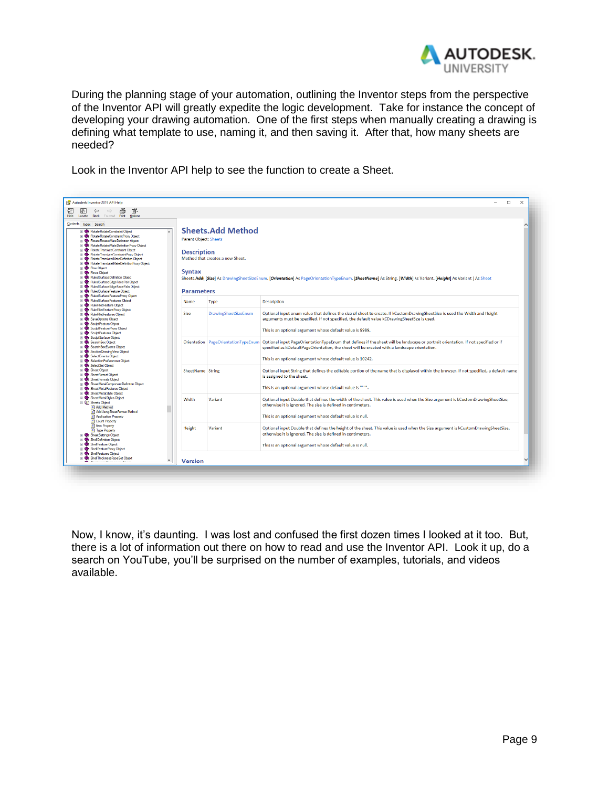

During the planning stage of your automation, outlining the Inventor steps from the perspective of the Inventor API will greatly expedite the logic development. Take for instance the concept of developing your drawing automation. One of the first steps when manually creating a drawing is defining what template to use, naming it, and then saving it. After that, how many sheets are needed?

Look in the Inventor API help to see the function to create a Sheet.



Now, I know, it's daunting. I was lost and confused the first dozen times I looked at it too. But, there is a lot of information out there on how to read and use the Inventor API. Look it up, do a search on YouTube, you'll be surprised on the number of examples, tutorials, and videos available.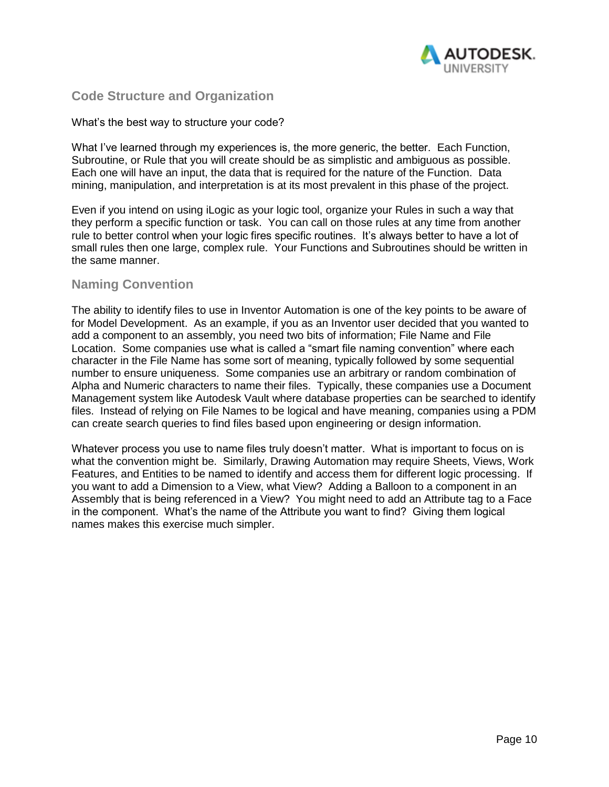

### <span id="page-9-0"></span>**Code Structure and Organization**

#### What's the best way to structure your code?

What I've learned through my experiences is, the more generic, the better. Each Function, Subroutine, or Rule that you will create should be as simplistic and ambiguous as possible. Each one will have an input, the data that is required for the nature of the Function. Data mining, manipulation, and interpretation is at its most prevalent in this phase of the project.

Even if you intend on using iLogic as your logic tool, organize your Rules in such a way that they perform a specific function or task. You can call on those rules at any time from another rule to better control when your logic fires specific routines. It's always better to have a lot of small rules then one large, complex rule. Your Functions and Subroutines should be written in the same manner.

#### <span id="page-9-1"></span>**Naming Convention**

The ability to identify files to use in Inventor Automation is one of the key points to be aware of for Model Development. As an example, if you as an Inventor user decided that you wanted to add a component to an assembly, you need two bits of information; File Name and File Location. Some companies use what is called a "smart file naming convention" where each character in the File Name has some sort of meaning, typically followed by some sequential number to ensure uniqueness. Some companies use an arbitrary or random combination of Alpha and Numeric characters to name their files. Typically, these companies use a Document Management system like Autodesk Vault where database properties can be searched to identify files. Instead of relying on File Names to be logical and have meaning, companies using a PDM can create search queries to find files based upon engineering or design information.

Whatever process you use to name files truly doesn't matter. What is important to focus on is what the convention might be. Similarly, Drawing Automation may require Sheets, Views, Work Features, and Entities to be named to identify and access them for different logic processing. If you want to add a Dimension to a View, what View? Adding a Balloon to a component in an Assembly that is being referenced in a View? You might need to add an Attribute tag to a Face in the component. What's the name of the Attribute you want to find? Giving them logical names makes this exercise much simpler.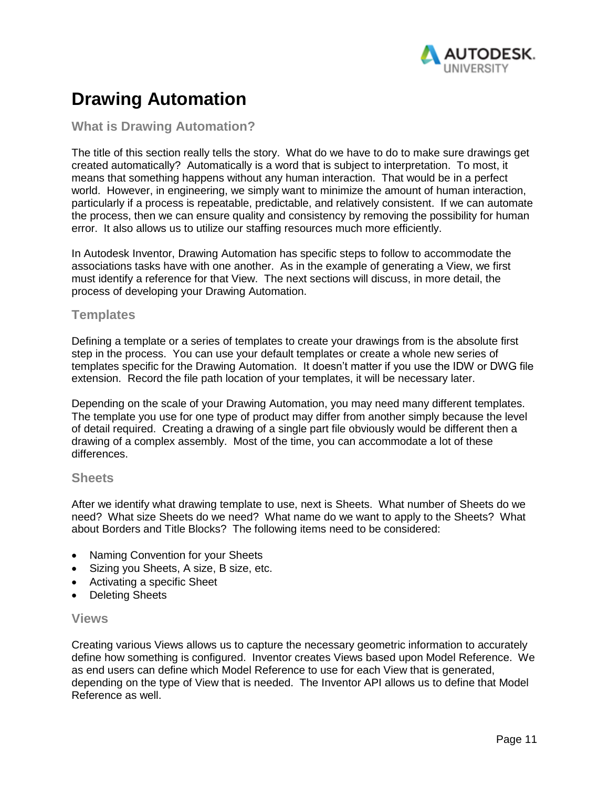

# <span id="page-10-0"></span>**Drawing Automation**

## <span id="page-10-1"></span>**What is Drawing Automation?**

The title of this section really tells the story. What do we have to do to make sure drawings get created automatically? Automatically is a word that is subject to interpretation. To most, it means that something happens without any human interaction. That would be in a perfect world. However, in engineering, we simply want to minimize the amount of human interaction, particularly if a process is repeatable, predictable, and relatively consistent. If we can automate the process, then we can ensure quality and consistency by removing the possibility for human error. It also allows us to utilize our staffing resources much more efficiently.

In Autodesk Inventor, Drawing Automation has specific steps to follow to accommodate the associations tasks have with one another. As in the example of generating a View, we first must identify a reference for that View. The next sections will discuss, in more detail, the process of developing your Drawing Automation.

#### <span id="page-10-2"></span>**Templates**

Defining a template or a series of templates to create your drawings from is the absolute first step in the process. You can use your default templates or create a whole new series of templates specific for the Drawing Automation. It doesn't matter if you use the IDW or DWG file extension. Record the file path location of your templates, it will be necessary later.

Depending on the scale of your Drawing Automation, you may need many different templates. The template you use for one type of product may differ from another simply because the level of detail required. Creating a drawing of a single part file obviously would be different then a drawing of a complex assembly. Most of the time, you can accommodate a lot of these differences.

#### <span id="page-10-3"></span>**Sheets**

After we identify what drawing template to use, next is Sheets. What number of Sheets do we need? What size Sheets do we need? What name do we want to apply to the Sheets? What about Borders and Title Blocks? The following items need to be considered:

- Naming Convention for your Sheets
- Sizing you Sheets, A size, B size, etc.
- Activating a specific Sheet
- <span id="page-10-4"></span>• Deleting Sheets

#### **Views**

Creating various Views allows us to capture the necessary geometric information to accurately define how something is configured. Inventor creates Views based upon Model Reference. We as end users can define which Model Reference to use for each View that is generated, depending on the type of View that is needed. The Inventor API allows us to define that Model Reference as well.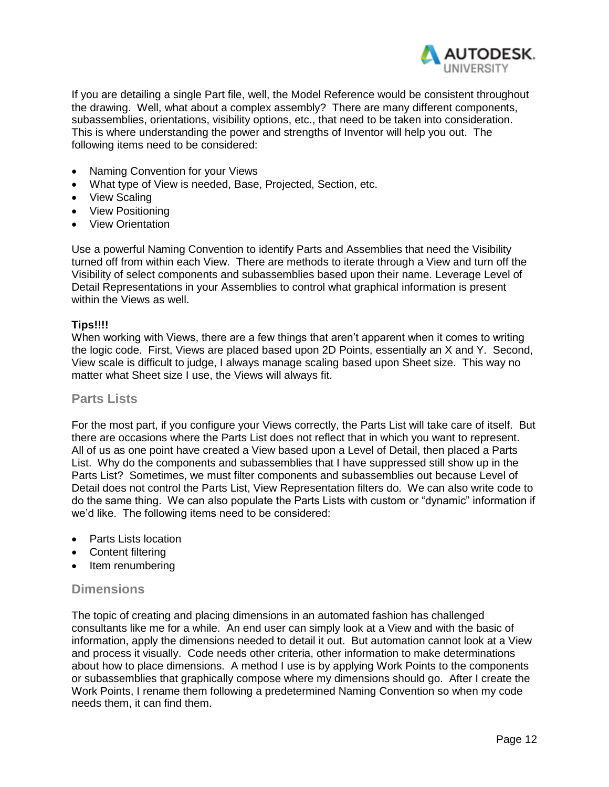

If you are detailing a single Part file, well, the Model Reference would be consistent throughout the drawing. Well, what about a complex assembly? There are many different components, subassemblies, orientations, visibility options, etc., that need to be taken into consideration. This is where understanding the power and strengths of Inventor will help you out. The following items need to be considered:

- Naming Convention for your Views
- What type of View is needed, Base, Projected, Section, etc.
- View Scaling
- View Positioning
- View Orientation

Use a powerful Naming Convention to identify Parts and Assemblies that need the Visibility turned off from within each View. There are methods to iterate through a View and turn off the Visibility of select components and subassemblies based upon their name. Leverage Level of Detail Representations in your Assemblies to control what graphical information is present within the Views as well.

#### **Tips!!!!**

When working with Views, there are a few things that aren't apparent when it comes to writing the logic code. First, Views are placed based upon 2D Points, essentially an X and Y. Second, View scale is difficult to judge, I always manage scaling based upon Sheet size. This way no matter what Sheet size I use, the Views will always fit.

#### <span id="page-11-0"></span>**Parts Lists**

For the most part, if you configure your Views correctly, the Parts List will take care of itself. But there are occasions where the Parts List does not reflect that in which you want to represent. All of us as one point have created a View based upon a Level of Detail, then placed a Parts List. Why do the components and subassemblies that I have suppressed still show up in the Parts List? Sometimes, we must filter components and subassemblies out because Level of Detail does not control the Parts List, View Representation filters do. We can also write code to do the same thing. We can also populate the Parts Lists with custom or "dynamic" information if we'd like. The following items need to be considered:

- Parts Lists location
- Content filtering
- Item renumbering

#### <span id="page-11-1"></span>**Dimensions**

The topic of creating and placing dimensions in an automated fashion has challenged consultants like me for a while. An end user can simply look at a View and with the basic of information, apply the dimensions needed to detail it out. But automation cannot look at a View and process it visually. Code needs other criteria, other information to make determinations about how to place dimensions. A method I use is by applying Work Points to the components or subassemblies that graphically compose where my dimensions should go. After I create the Work Points, I rename them following a predetermined Naming Convention so when my code needs them, it can find them.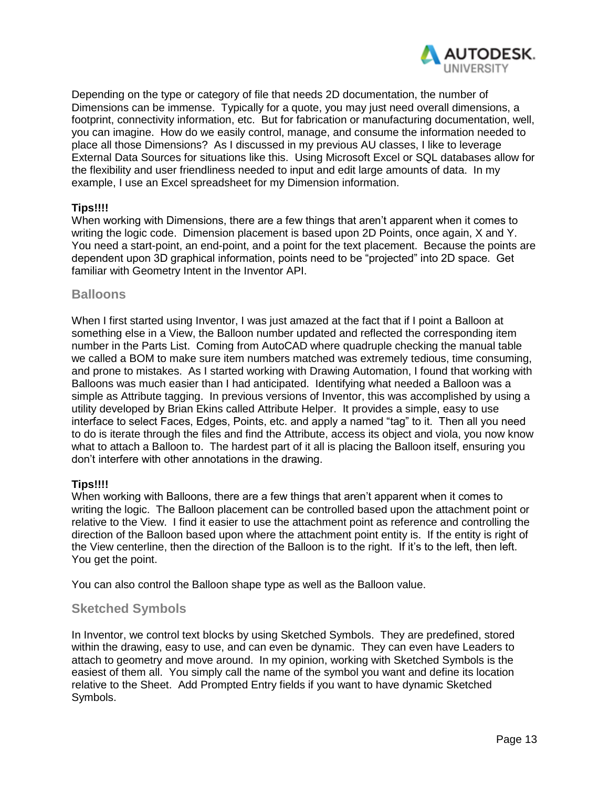

Depending on the type or category of file that needs 2D documentation, the number of Dimensions can be immense. Typically for a quote, you may just need overall dimensions, a footprint, connectivity information, etc. But for fabrication or manufacturing documentation, well, you can imagine. How do we easily control, manage, and consume the information needed to place all those Dimensions? As I discussed in my previous AU classes, I like to leverage External Data Sources for situations like this. Using Microsoft Excel or SQL databases allow for the flexibility and user friendliness needed to input and edit large amounts of data. In my example, I use an Excel spreadsheet for my Dimension information.

#### **Tips!!!!**

When working with Dimensions, there are a few things that aren't apparent when it comes to writing the logic code. Dimension placement is based upon 2D Points, once again, X and Y. You need a start-point, an end-point, and a point for the text placement. Because the points are dependent upon 3D graphical information, points need to be "projected" into 2D space. Get familiar with Geometry Intent in the Inventor API.

#### <span id="page-12-0"></span>**Balloons**

When I first started using Inventor, I was just amazed at the fact that if I point a Balloon at something else in a View, the Balloon number updated and reflected the corresponding item number in the Parts List. Coming from AutoCAD where quadruple checking the manual table we called a BOM to make sure item numbers matched was extremely tedious, time consuming, and prone to mistakes. As I started working with Drawing Automation, I found that working with Balloons was much easier than I had anticipated. Identifying what needed a Balloon was a simple as Attribute tagging. In previous versions of Inventor, this was accomplished by using a utility developed by Brian Ekins called Attribute Helper. It provides a simple, easy to use interface to select Faces, Edges, Points, etc. and apply a named "tag" to it. Then all you need to do is iterate through the files and find the Attribute, access its object and viola, you now know what to attach a Balloon to. The hardest part of it all is placing the Balloon itself, ensuring you don't interfere with other annotations in the drawing.

#### **Tips!!!!**

When working with Balloons, there are a few things that aren't apparent when it comes to writing the logic. The Balloon placement can be controlled based upon the attachment point or relative to the View. I find it easier to use the attachment point as reference and controlling the direction of the Balloon based upon where the attachment point entity is. If the entity is right of the View centerline, then the direction of the Balloon is to the right. If it's to the left, then left. You get the point.

You can also control the Balloon shape type as well as the Balloon value.

### <span id="page-12-1"></span>**Sketched Symbols**

In Inventor, we control text blocks by using Sketched Symbols. They are predefined, stored within the drawing, easy to use, and can even be dynamic. They can even have Leaders to attach to geometry and move around. In my opinion, working with Sketched Symbols is the easiest of them all. You simply call the name of the symbol you want and define its location relative to the Sheet. Add Prompted Entry fields if you want to have dynamic Sketched Symbols.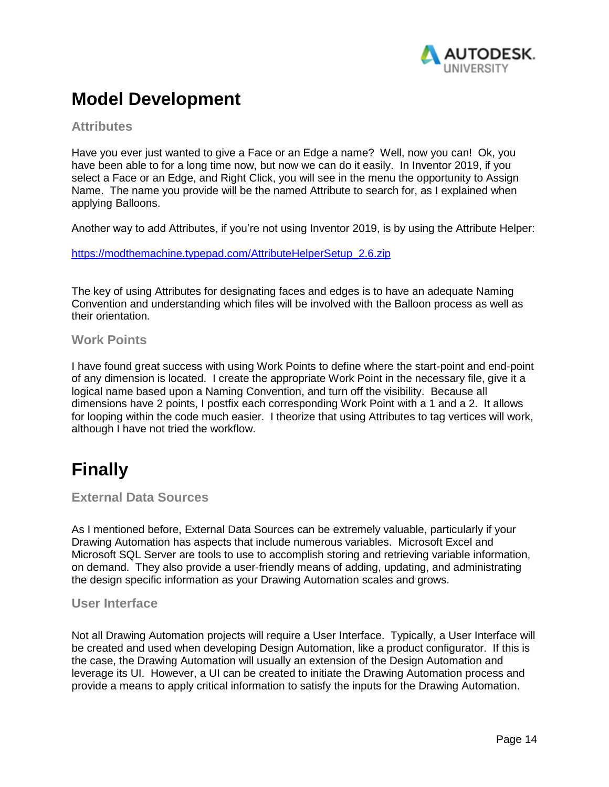

## <span id="page-13-0"></span>**Model Development**

### <span id="page-13-1"></span>**Attributes**

Have you ever just wanted to give a Face or an Edge a name? Well, now you can! Ok, you have been able to for a long time now, but now we can do it easily. In Inventor 2019, if you select a Face or an Edge, and Right Click, you will see in the menu the opportunity to Assign Name. The name you provide will be the named Attribute to search for, as I explained when applying Balloons.

Another way to add Attributes, if you're not using Inventor 2019, is by using the Attribute Helper:

[https://modthemachine.typepad.com/AttributeHelperSetup\\_2.6.zip](https://modthemachine.typepad.com/AttributeHelperSetup_2.6.zip)

The key of using Attributes for designating faces and edges is to have an adequate Naming Convention and understanding which files will be involved with the Balloon process as well as their orientation.

### <span id="page-13-2"></span>**Work Points**

I have found great success with using Work Points to define where the start-point and end-point of any dimension is located. I create the appropriate Work Point in the necessary file, give it a logical name based upon a Naming Convention, and turn off the visibility. Because all dimensions have 2 points, I postfix each corresponding Work Point with a 1 and a 2. It allows for looping within the code much easier. I theorize that using Attributes to tag vertices will work, although I have not tried the workflow.

# <span id="page-13-3"></span>**Finally**

<span id="page-13-4"></span>**External Data Sources**

As I mentioned before, External Data Sources can be extremely valuable, particularly if your Drawing Automation has aspects that include numerous variables. Microsoft Excel and Microsoft SQL Server are tools to use to accomplish storing and retrieving variable information, on demand. They also provide a user-friendly means of adding, updating, and administrating the design specific information as your Drawing Automation scales and grows.

#### <span id="page-13-5"></span>**User Interface**

Not all Drawing Automation projects will require a User Interface. Typically, a User Interface will be created and used when developing Design Automation, like a product configurator. If this is the case, the Drawing Automation will usually an extension of the Design Automation and leverage its UI. However, a UI can be created to initiate the Drawing Automation process and provide a means to apply critical information to satisfy the inputs for the Drawing Automation.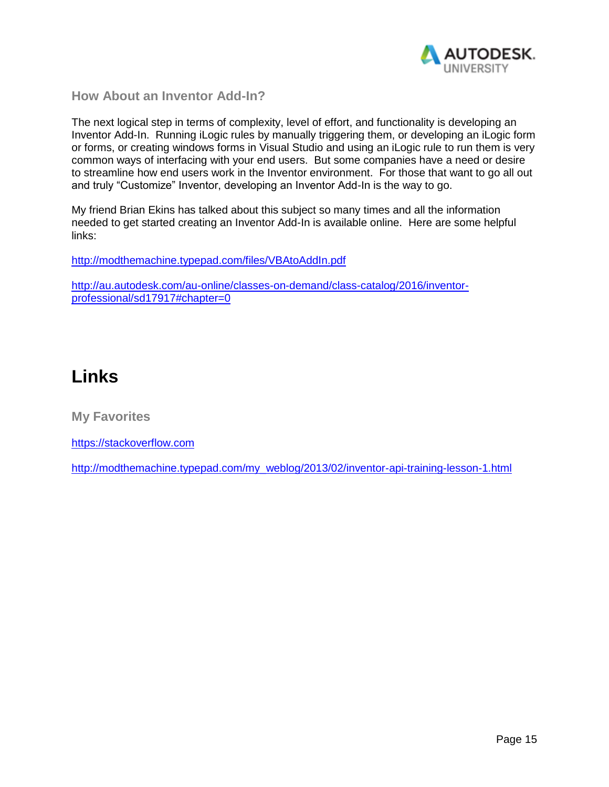

<span id="page-14-0"></span>**How About an Inventor Add-In?**

The next logical step in terms of complexity, level of effort, and functionality is developing an Inventor Add-In. Running iLogic rules by manually triggering them, or developing an iLogic form or forms, or creating windows forms in Visual Studio and using an iLogic rule to run them is very common ways of interfacing with your end users. But some companies have a need or desire to streamline how end users work in the Inventor environment. For those that want to go all out and truly "Customize" Inventor, developing an Inventor Add-In is the way to go.

My friend Brian Ekins has talked about this subject so many times and all the information needed to get started creating an Inventor Add-In is available online. Here are some helpful links:

<http://modthemachine.typepad.com/files/VBAtoAddIn.pdf>

[http://au.autodesk.com/au-online/classes-on-demand/class-catalog/2016/inventor](http://au.autodesk.com/au-online/classes-on-demand/class-catalog/2016/inventor-professional/sd17917#chapter=0)[professional/sd17917#chapter=0](http://au.autodesk.com/au-online/classes-on-demand/class-catalog/2016/inventor-professional/sd17917#chapter=0)

# <span id="page-14-1"></span>**Links**

<span id="page-14-2"></span>**My Favorites**

[https://stackoverflow.com](https://stackoverflow.com/)

[http://modthemachine.typepad.com/my\\_weblog/2013/02/inventor-api-training-lesson-1.html](http://modthemachine.typepad.com/my_weblog/2013/02/inventor-api-training-lesson-1.html)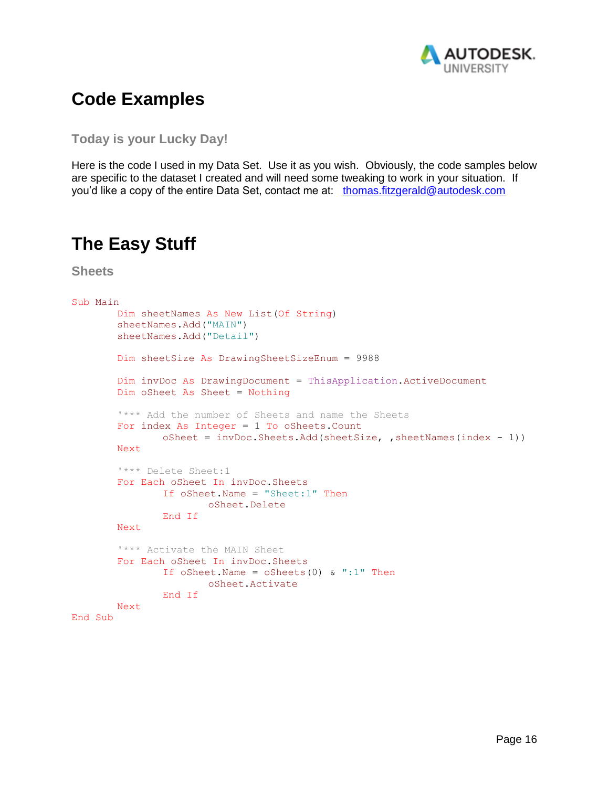

## <span id="page-15-0"></span>**Code Examples**

<span id="page-15-1"></span>**Today is your Lucky Day!**

Here is the code I used in my Data Set. Use it as you wish. Obviously, the code samples below are specific to the dataset I created and will need some tweaking to work in your situation. If you'd like a copy of the entire Data Set, contact me at: [thomas.fitzgerald@autodesk.com](mailto:thomas.fitzgerald@autodesk.com)

## <span id="page-15-2"></span>**The Easy Stuff**

<span id="page-15-3"></span>**Sheets**

```
Sub Main
       Dim sheetNames As New List(Of String)
       sheetNames.Add("MAIN")
       sheetNames.Add("Detail")
       Dim sheetSize As DrawingSheetSizeEnum = 9988
       Dim invDoc As DrawingDocument = ThisApplication.ActiveDocument
       Dim oSheet As Sheet = Nothing
       '*** Add the number of Sheets and name the Sheets
       For index As Integer = 1 To oSheets.Count
               oSheet = invDoc.Sheets.Add(sheetSize, ,sheetNames(index - 1))
       Next
       '*** Delete Sheet:1
       For Each oSheet In invDoc.Sheets
               If oSheet.Name = "Sheet:1" Then
                      oSheet.Delete
               End If
       Next
       '*** Activate the MAIN Sheet
       For Each oSheet In invDoc.Sheets
               If oSheet.Name = \circSheets(0) & ":1" Then
                       oSheet.Activate
               End If
       Next
End Sub
```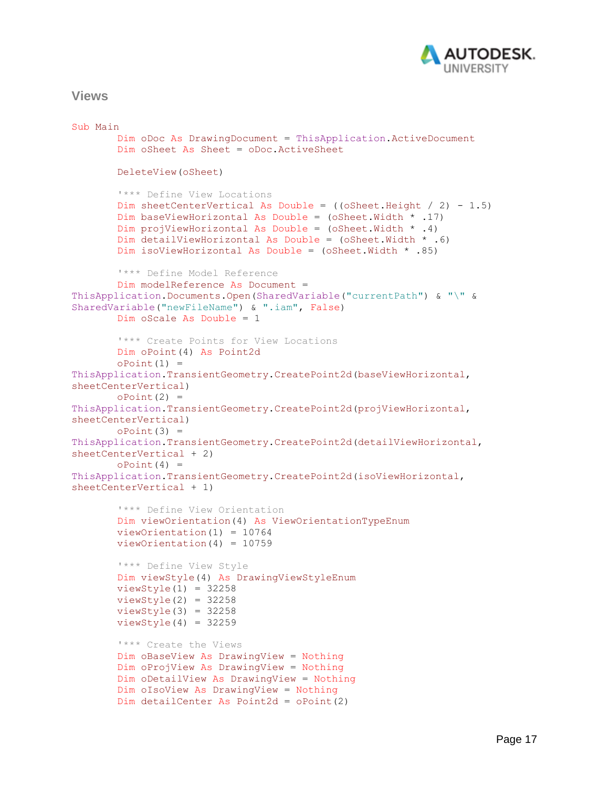

#### <span id="page-16-0"></span>**Views**

```
Sub Main
       Dim oDoc As DrawingDocument = ThisApplication.ActiveDocument
       Dim oSheet As Sheet = oDoc.ActiveSheet
       DeleteView(oSheet)
       '*** Define View Locations
       Dim sheetCenterVertical As Double = ((oSheet.Height / 2) - 1.5)
       Dim baseViewHorizontal As Double = (oSheet.Width * .17)
       Dim projViewHorizontal As Double = (oSheet.Width * .4)
       Dim detailViewHorizontal As Double = (oSheet.Width * .6)
       Dim isoViewHorizontal As Double = (oSheet.Width * .85)
        '*** Define Model Reference
       Dim modelReference As Document = 
ThisApplication.Documents.Open(SharedVariable("currentPath") & "\" & 
SharedVariable("newFileName") & ".iam", False)
       Dim oScale As Double = 1
       '*** Create Points for View Locations
       Dim oPoint(4) As Point2d
       oPoint(1) =ThisApplication.TransientGeometry.CreatePoint2d(baseViewHorizontal, 
sheetCenterVertical)
       oPoint(2) =ThisApplication.TransientGeometry.CreatePoint2d(projViewHorizontal, 
sheetCenterVertical)
       oPoint(3) =ThisApplication.TransientGeometry.CreatePoint2d(detailViewHorizontal, 
sheetCenterVertical + 2)
       oPoint(4) =ThisApplication.TransientGeometry.CreatePoint2d(isoViewHorizontal, 
sheetCenterVertical + 1)
        '*** Define View Orientation
       Dim viewOrientation(4) As ViewOrientationTypeEnum
       viewOrientation(1) = 10764
       viewOrientation(4) = 10759
       '*** Define View Style
       Dim viewStyle(4) As DrawingViewStyleEnum
       viewStyle(1) = 32258viewStyle(2) = 32258viewStyle(3) = 32258viewStyle(4) = 32259'*** Create the Views
       Dim oBaseView As DrawingView = Nothing
       Dim oProjView As DrawingView = Nothing
       Dim oDetailView As DrawingView = Nothing
       Dim oIsoView As DrawingView = Nothing
       Dim detailCenter As Point2d = \text{oPoint}(2)
```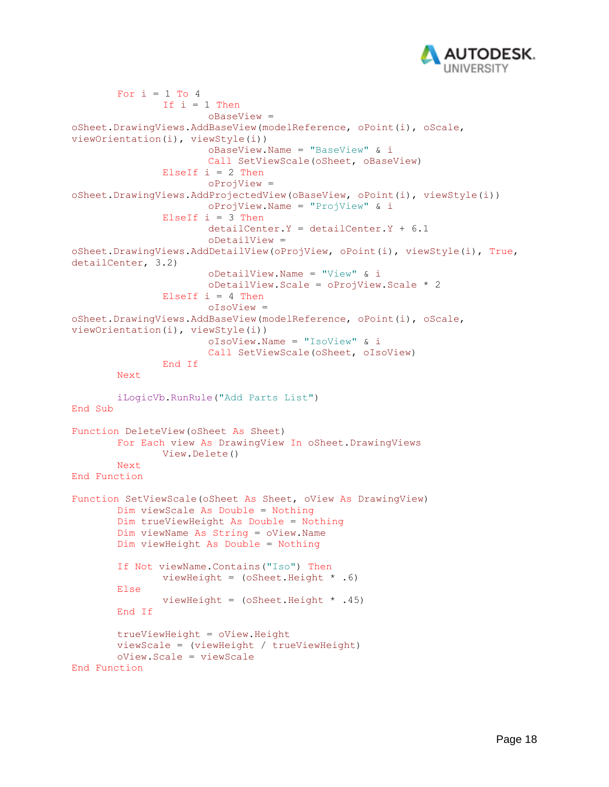

```
For i = 1 To 4
               If i = 1 Then
                       oBaseView = 
oSheet.DrawingViews.AddBaseView(modelReference, oPoint(i), oScale, 
viewOrientation(i), viewStyle(i))
                       oBaseView.Name = "BaseView" & i
                       Call SetViewScale(oSheet, oBaseView)
               ElseIf i = 2 Then
                       oProjView = 
oSheet.DrawingViews.AddProjectedView(oBaseView, oPoint(i), viewStyle(i))
                       oProjView.Name = "ProjView" & i
               ElseIf i = 3 Then
                       detailCenter.Y = detailCenter.Y + 6.1oDetailView = 
oSheet.DrawingViews.AddDetailView(oProjView, oPoint(i), viewStyle(i), True, 
detailCenter, 3.2)
                       oDetailView.Name = "View" & i
                       oDetailView.Scale = oProjView.Scale * 2
               ElseIf i = 4 Then
                       oIsoView = 
oSheet.DrawingViews.AddBaseView(modelReference, oPoint(i), oScale, 
viewOrientation(i), viewStyle(i))
                       oIsoView.Name = "IsoView" & i
                       Call SetViewScale(oSheet, oIsoView)
               End If
       Next
       iLogicVb.RunRule("Add Parts List")
End Sub
Function DeleteView(oSheet As Sheet)
       For Each view As DrawingView In oSheet.DrawingViews
              View.Delete()
       Next
End Function
Function SetViewScale(oSheet As Sheet, oView As DrawingView)
       Dim viewScale As Double = Nothing
       Dim trueViewHeight As Double = Nothing
       Dim viewName As String = oView.Name
       Dim viewHeight As Double = Nothing
       If Not viewName.Contains("Iso") Then
              viewHeight = (oSheet.Height * .6)
       Else
               viewHeight = (6 \text{sheet.Height} * .45)End If
       trueViewHeight = oView.Height
       viewScale = (viewHeight / trueViewHeight)
       oView.Scale = viewScale
End Function
```
Page 18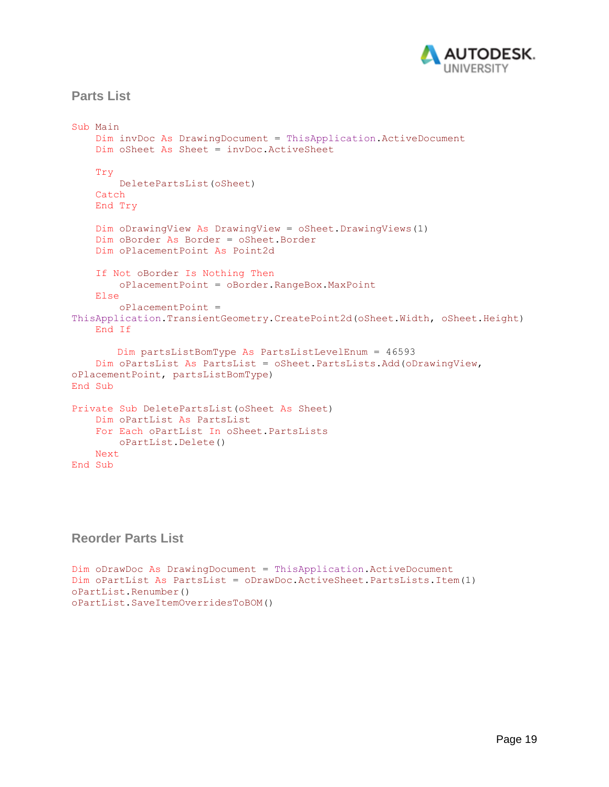

## <span id="page-18-0"></span>**Parts List**

```
Sub Main
     Dim invDoc As DrawingDocument = ThisApplication.ActiveDocument
     Dim oSheet As Sheet = invDoc.ActiveSheet
     Try
         DeletePartsList(oSheet)
     Catch
     End Try
     Dim oDrawingView As DrawingView = oSheet.DrawingViews(1)
     Dim oBorder As Border = oSheet.Border
     Dim oPlacementPoint As Point2d
     If Not oBorder Is Nothing Then
         oPlacementPoint = oBorder.RangeBox.MaxPoint
     Else
         oPlacementPoint = 
ThisApplication.TransientGeometry.CreatePoint2d(oSheet.Width, oSheet.Height)
     End If
       Dim partsListBomType As PartsListLevelEnum = 46593
     Dim oPartsList As PartsList = oSheet.PartsLists.Add(oDrawingView, 
oPlacementPoint, partsListBomType)
End Sub
Private Sub DeletePartsList(oSheet As Sheet)
     Dim oPartList As PartsList
     For Each oPartList In oSheet.PartsLists
        oPartList.Delete()
    Next
End Sub
```
## <span id="page-18-1"></span>**Reorder Parts List**

```
Dim oDrawDoc As DrawingDocument = ThisApplication.ActiveDocument
Dim oPartList As PartsList = oDrawDoc.ActiveSheet.PartsLists.Item(1)
oPartList.Renumber()
oPartList.SaveItemOverridesToBOM()
```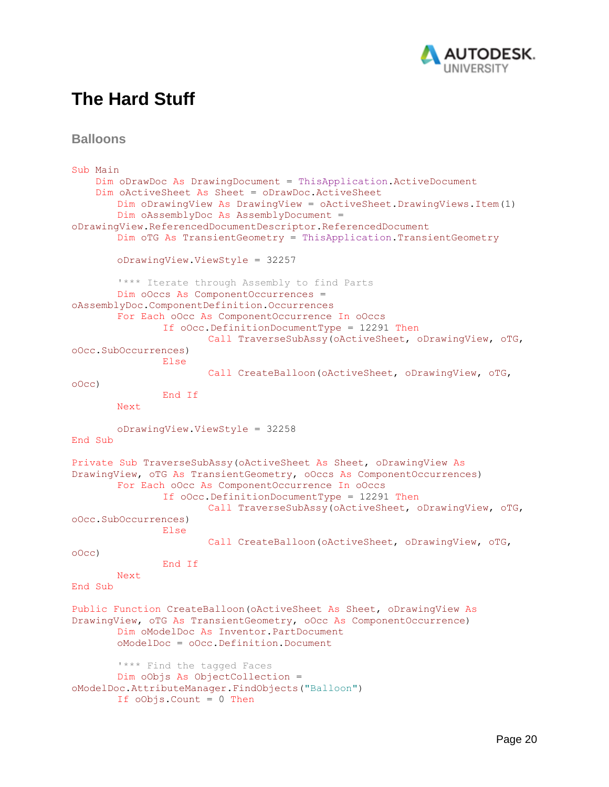

## <span id="page-19-0"></span>**The Hard Stuff**

<span id="page-19-1"></span>**Balloons**

```
Sub Main
     Dim oDrawDoc As DrawingDocument = ThisApplication.ActiveDocument
     Dim oActiveSheet As Sheet = oDrawDoc.ActiveSheet
       Dim oDrawingView As DrawingView = oActiveSheet.DrawingViews.Item(1)
       Dim oAssemblyDoc As AssemblyDocument = 
oDrawingView.ReferencedDocumentDescriptor.ReferencedDocument
       Dim oTG As TransientGeometry = ThisApplication.TransientGeometry
       oDrawingView.ViewStyle = 32257
        '*** Iterate through Assembly to find Parts
       Dim oOccs As ComponentOccurrences = 
oAssemblyDoc.ComponentDefinition.Occurrences
       For Each oOcc As ComponentOccurrence In oOccs
               If oOcc.DefinitionDocumentType = 12291 Then
                       Call TraverseSubAssy(oActiveSheet, oDrawingView, oTG, 
oOcc.SubOccurrences)
               Else
                       Call CreateBalloon(oActiveSheet, oDrawingView, oTG, 
oOcc)
               End If
        Next
       oDrawingView.ViewStyle = 32258
End Sub
Private Sub TraverseSubAssy(oActiveSheet As Sheet, oDrawingView As
DrawingView, oTG As TransientGeometry, oOccs As ComponentOccurrences)
       For Each oOcc As ComponentOccurrence In oOccs
               If oOcc.DefinitionDocumentType = 12291 Then
                       Call TraverseSubAssy(oActiveSheet, oDrawingView, oTG, 
oOcc.SubOccurrences)
               Else
                       Call CreateBalloon(oActiveSheet, oDrawingView, oTG, 
oOcc)
               End If
        Next
End Sub
Public Function CreateBalloon(oActiveSheet As Sheet, oDrawingView As
DrawingView, oTG As TransientGeometry, oOcc As ComponentOccurrence)
       Dim oModelDoc As Inventor.PartDocument
       oModelDoc = oOcc.Definition.Document
       '*** Find the tagged Faces
       Dim oObjs As ObjectCollection = 
oModelDoc.AttributeManager.FindObjects("Balloon")
       If oObjs.Count = 0 Then
```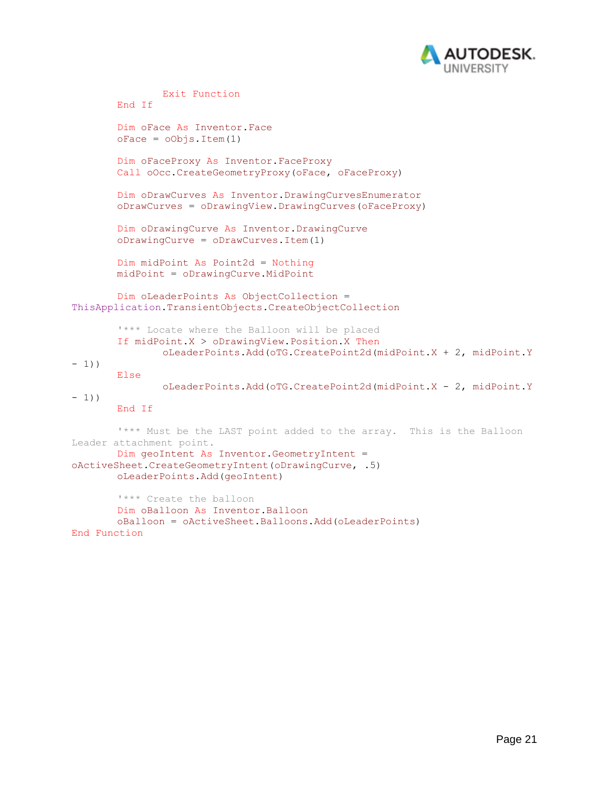

```
Exit Function
       End If
       Dim oFace As Inventor.Face
       oFace = oObjs.Item(1)Dim oFaceProxy As Inventor.FaceProxy
       Call oOcc.CreateGeometryProxy(oFace, oFaceProxy)
       Dim oDrawCurves As Inventor.DrawingCurvesEnumerator
       oDrawCurves = oDrawingView.DrawingCurves(oFaceProxy)
       Dim oDrawingCurve As Inventor.DrawingCurve
       oDrawingCurve = oDrawCurves.Item(1)
       Dim midPoint As Point2d = Nothing
       midPoint = oDrawingCurve.MidPoint
       Dim oLeaderPoints As ObjectCollection = 
ThisApplication.TransientObjects.CreateObjectCollection
       '*** Locate where the Balloon will be placed
       If midPoint.X > oDrawingView.Position.X Then
               oLeaderPoints.Add(oTG.CreatePoint2d(midPoint.X + 2, midPoint.Y
-1))
       Else
               oLeaderPoints.Add(oTG.CreatePoint2d(midPoint.X - 2, midPoint.Y
-1))
       End If
       '*** Must be the LAST point added to the array. This is the Balloon 
Leader attachment point.
       Dim geoIntent As Inventor.GeometryIntent = 
oActiveSheet.CreateGeometryIntent(oDrawingCurve, .5)
       oLeaderPoints.Add(geoIntent)
       '*** Create the balloon
       Dim oBalloon As Inventor.Balloon
       oBalloon = oActiveSheet.Balloons.Add(oLeaderPoints)
End Function
```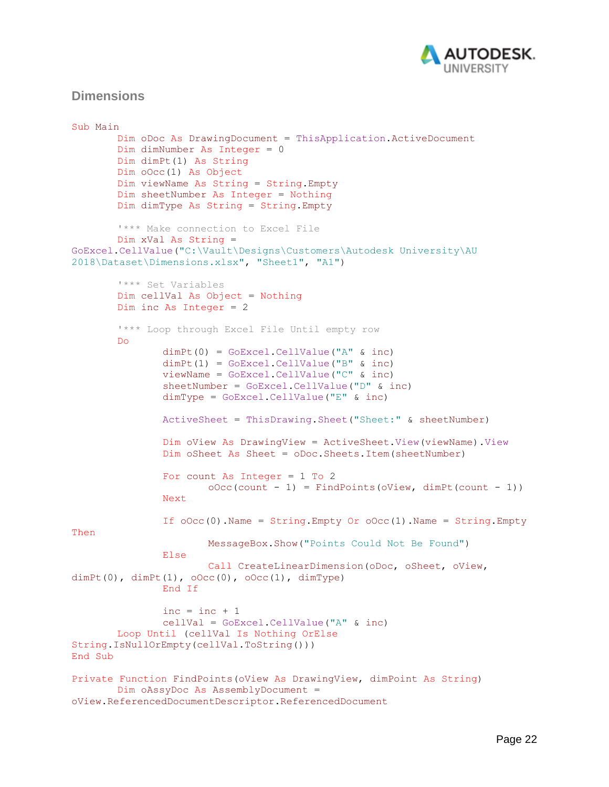

### <span id="page-21-0"></span>**Dimensions**

```
Sub Main
       Dim oDoc As DrawingDocument = ThisApplication.ActiveDocument
       Dim dimNumber As Integer = 0
       Dim dimPt(1) As String
       Dim oOcc(1) As Object
       Dim viewName As String = String.Empty
       Dim sheetNumber As Integer = Nothing
       Dim dimType As String = String.Empty
        '*** Make connection to Excel File
       Dim xVal As String = 
GoExcel.CellValue("C:\Vault\Designs\Customers\Autodesk University\AU 
2018\Dataset\Dimensions.xlsx", "Sheet1", "A1")
        '*** Set Variables
       Dim cellVal As Object = Nothing
       Dim inc As Integer = 2
        '*** Loop through Excel File Until empty row
       Do
               dimPt(0) = GoExcel.CellValue("A" & inc)
               dimPt(1) = GoExcel.CellValue("B" & inc)
               viewName = GoExcel.CellValue("C" & inc)
               sheetNumber = GoExcel.CellValue("D" & inc)
               dimType = GoExcel.CellValue("E" & inc)
               ActiveSheet = ThisDrawing.Sheet("Sheet:" & sheetNumber)
               Dim oView As DrawingView = ActiveSheet.View(viewName).View
               Dim oSheet As Sheet = oDoc.Sheets.Item(sheetNumber)
               For count As Integer = 1 To 2
                       oOcc(count - 1) = FindPoints(oview, dimPt(count - 1))Next
               If \text{OOcc}(0). Name = String. Empty Or \text{OOcc}(1). Name = String. Empty
Then
                       MessageBox.Show("Points Could Not Be Found")
               Else
                       Call CreateLinearDimension(oDoc, oSheet, oView, 
dimPt(0), dimPt(1), \text{OOcc}(0), \text{OOcc}(1), dimType)
               End If
               inc = inc + 1cellVal = GoExcel.CellValue("A" & inc)
       Loop Until (cellVal Is Nothing OrElse
String.IsNullOrEmpty(cellVal.ToString()))
End Sub
Private Function FindPoints(oView As DrawingView, dimPoint As String)
       Dim oAssyDoc As AssemblyDocument = 
oView.ReferencedDocumentDescriptor.ReferencedDocument
```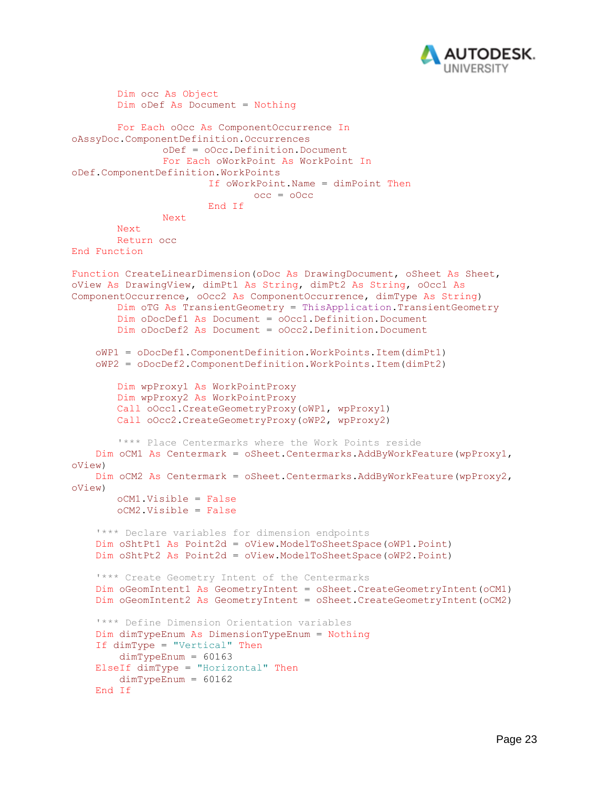

```
Dim occ As Object
       Dim oDef As Document = Nothing
       For Each oOcc As ComponentOccurrence In
oAssyDoc.ComponentDefinition.Occurrences
               oDef = oOcc.Definition.Document
               For Each oWorkPoint As WorkPoint In
oDef.ComponentDefinition.WorkPoints
                       If oWorkPoint.Name = dimPoint Then
                               occ = oOccEnd If
               Next
        Next
       Return occ
End Function
Function CreateLinearDimension(oDoc As DrawingDocument, oSheet As Sheet,
oView As DrawingView, dimPt1 As String, dimPt2 As String, oOcc1 As
ComponentOccurrence, oOcc2 As ComponentOccurrence, dimType As String)
       Dim oTG As TransientGeometry = ThisApplication.TransientGeometry
       Dim oDocDef1 As Document = oOcc1.Definition.Document
       Dim oDocDef2 As Document = oOcc2.Definition.Document
     oWP1 = oDocDef1.ComponentDefinition.WorkPoints.Item(dimPt1)
     oWP2 = oDocDef2.ComponentDefinition.WorkPoints.Item(dimPt2)
       Dim wpProxy1 As WorkPointProxy
       Dim wpProxy2 As WorkPointProxy
       Call oOcc1.CreateGeometryProxy(oWP1, wpProxy1)
       Call oOcc2.CreateGeometryProxy(oWP2, wpProxy2)
        '*** Place Centermarks where the Work Points reside
     Dim oCM1 As Centermark = oSheet.Centermarks.AddByWorkFeature(wpProxy1, 
oView)
     Dim oCM2 As Centermark = oSheet.Centermarks.AddByWorkFeature(wpProxy2, 
oView)
       oCM1.Visible = False
       oCM2.Visible = False
     '*** Declare variables for dimension endpoints
     Dim oShtPt1 As Point2d = oView.ModelToSheetSpace(oWP1.Point)
     Dim oShtPt2 As Point2d = oView.ModelToSheetSpace(oWP2.Point)
     '*** Create Geometry Intent of the Centermarks
     Dim oGeomIntent1 As GeometryIntent = oSheet.CreateGeometryIntent(oCM1)
     Dim oGeomIntent2 As GeometryIntent = oSheet.CreateGeometryIntent(oCM2)
     '*** Define Dimension Orientation variables
     Dim dimTypeEnum As DimensionTypeEnum = Nothing
     If dimType = "Vertical" Then
        dimTypeEnum = 60163 ElseIf dimType = "Horizontal" Then
       dimTypeEnum = 60162 End If
```